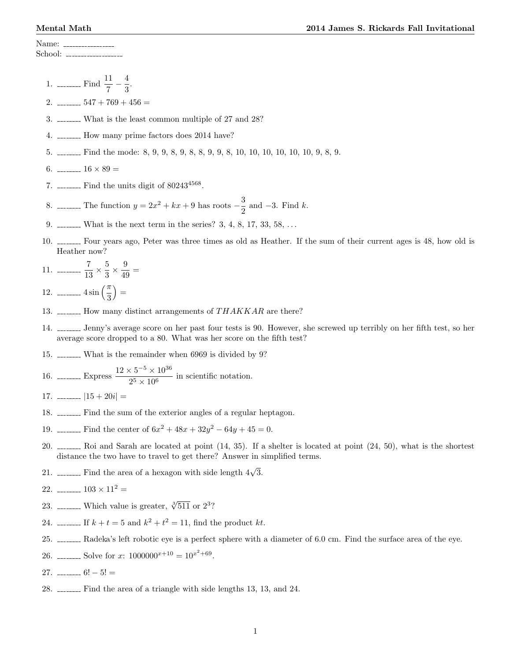Name: School: \_\_\_\_\_\_\_\_\_\_\_\_\_

> 1. \_\_\_\_\_\_\_\_ Find  $\frac{11}{7} - \frac{4}{3}$  $\frac{1}{3}$ .

2.  $\frac{547 + 769 + 456}{ }$ 

- 3. What is the least common multiple of 27 and 28?
- 4. \_\_\_\_\_\_\_ How many prime factors does 2014 have?
- 5. Find the mode: 8, 9, 9, 8, 9, 8, 8, 9, 9, 8, 10, 10, 10, 10, 10, 10, 9, 8, 9.
- 6.  $\frac{16 \times 89}{ }$
- 7.  $\frac{1}{2}$  Find the units digit of 80243<sup>4568</sup>.
- 8. \_\_\_\_\_\_\_ The function  $y = 2x^2 + kx + 9$  has roots  $-\frac{3}{8}$  $\frac{3}{2}$  and -3. Find k.
- 9.  $\ldots$  What is the next term in the series? 3, 4, 8, 17, 33, 58,  $\ldots$
- 10. <u>Four</u> years ago, Peter was three times as old as Heather. If the sum of their current ages is 48, how old is Heather now?

11. 
$$
11. \ \frac{7}{13} \times \frac{5}{3} \times \frac{9}{49} =
$$

12.  $\frac{1}{3}$  $=$ 

- 13.  $\ldots$  How many distinct arrangements of THAKKAR are there?
- 14. Jenny's average score on her past four tests is 90. However, she screwed up terribly on her fifth test, so her average score dropped to a 80. What was her score on the fifth test?
- 15. What is the remainder when 6969 is divided by 9?
- 16. \_\_\_\_\_\_\_\_ Express  $\frac{12 \times 5^{-5} \times 10^{36}}{25 \times 10^{6}}$  $\frac{10}{2^5 \times 10^6}$  in scientific notation.
- 17.  $\frac{15 + 20i}{ }$
- 18.  $\frac{18}{20}$  Find the sum of the exterior angles of a regular heptagon.
- 19. \_\_\_\_\_\_\_ Find the center of  $6x^2 + 48x + 32y^2 64y + 45 = 0$ .
- 20.  $\ldots$  Roi and Sarah are located at point  $(14, 35)$ . If a shelter is located at point  $(24, 50)$ , what is the shortest distance the two have to travel to get there? Answer in simplified terms.
- 21. \_\_\_\_\_\_\_ Find the area of a hexagon with side length  $4\sqrt{3}$ .
- 22.  $\frac{103 \times 11^2}{ }$
- 23. \_\_\_\_\_\_\_ Which value is greater,  $\sqrt[3]{511}$  or  $2^3$ ?
- 24. \_\_\_\_\_\_\_ If  $k + t = 5$  and  $k^2 + t^2 = 11$ , find the product kt.
- 25. Radeka's left robotic eye is a perfect sphere with a diameter of 6.0 cm. Find the surface area of the eye.
- 26. \_\_\_\_\_\_\_\_ Solve for  $x: 1000000^{x+10} = 10^{x^2+69}$ .
- 27.  $-$  6! 5! =
- $28.$   $\ldots$  Find the area of a triangle with side lengths 13, 13, and 24.